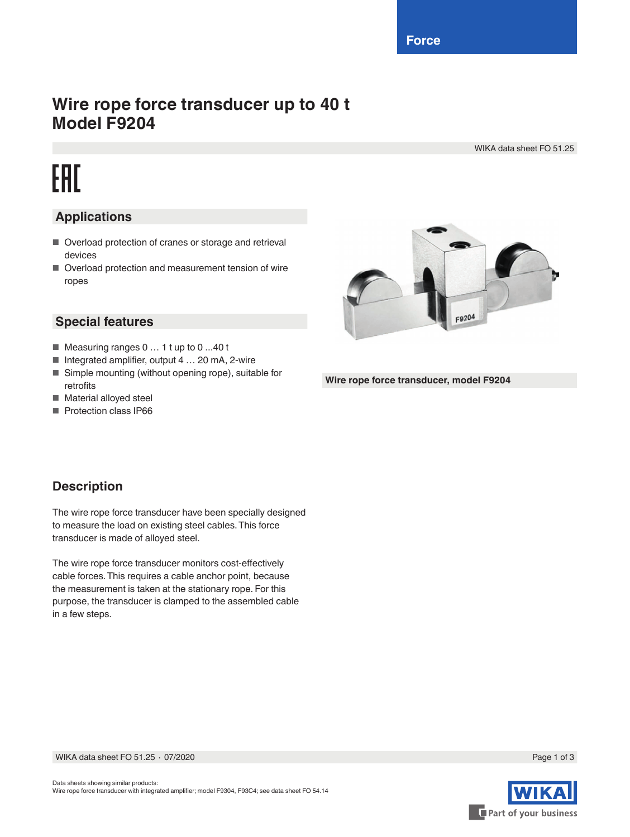**Force**

## **Wire rope force transducer up to 40 t Model F9204**

WIKA data sheet FO 51.25

# EAC

#### **Applications**

- Overload protection of cranes or storage and retrieval devices
- Overload protection and measurement tension of wire ropes

#### **Special features**

- Measuring ranges 0 ... 1 t up to 0 ...40 t
- Integrated amplifier, output 4 ... 20 mA, 2-wire
- Simple mounting (without opening rope), suitable for retrofits
- Material alloyed steel
- Protection class IP66



**Wire rope force transducer, model F9204**

#### **Description**

The wire rope force transducer have been specially designed to measure the load on existing steel cables. This force transducer is made of alloyed steel.

The wire rope force transducer monitors cost-effectively cable forces. This requires a cable anchor point, because the measurement is taken at the stationary rope. For this purpose, the transducer is clamped to the assembled cable in a few steps.

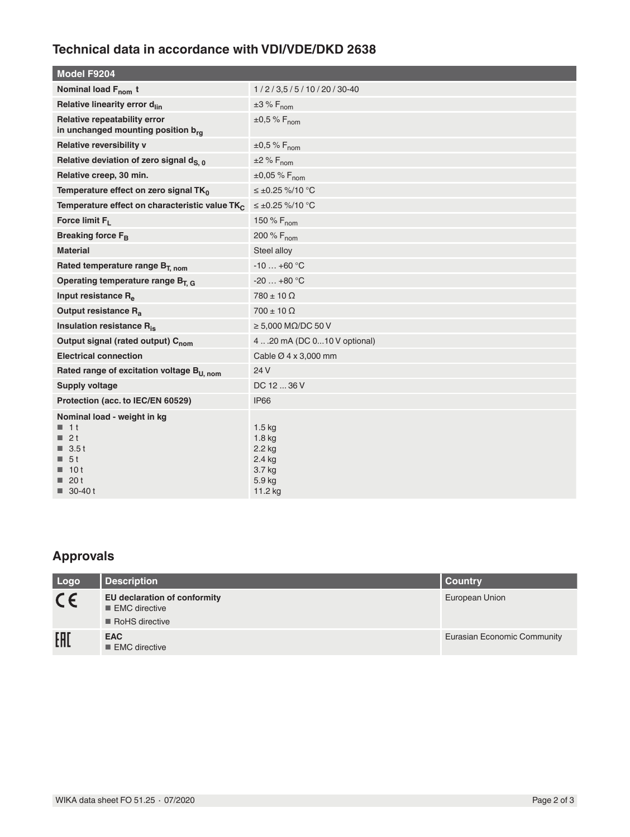#### **Technical data in accordance with VDI/VDE/DKD 2638**

| Model F9204                                                                                                                         |                                                                           |  |  |  |
|-------------------------------------------------------------------------------------------------------------------------------------|---------------------------------------------------------------------------|--|--|--|
| Nominal load F <sub>nom</sub> t                                                                                                     | 1/2/3,5/5/10/20/30-40                                                     |  |  |  |
| Relative linearity error d <sub>lin</sub>                                                                                           | $\pm 3 \% F_{\text{nom}}$                                                 |  |  |  |
| Relative repeatability error<br>in unchanged mounting position brq                                                                  | $\pm 0.5$ % F <sub>nom</sub>                                              |  |  |  |
| Relative reversibility v                                                                                                            | $\pm 0.5$ % F <sub>nom</sub>                                              |  |  |  |
| Relative deviation of zero signal d <sub>S. 0</sub>                                                                                 | $\pm 2$ % $F_{nom}$                                                       |  |  |  |
| Relative creep, 30 min.                                                                                                             | $\pm 0.05$ % F <sub>nom</sub>                                             |  |  |  |
| Temperature effect on zero signal TK <sub>0</sub>                                                                                   | ≤±0.25 %/10 °C                                                            |  |  |  |
| Temperature effect on characteristic value TK                                                                                       | $≤ ±0.25 %/10 °C$                                                         |  |  |  |
| Force limit $F_L$                                                                                                                   | 150 % $F_{nom}$                                                           |  |  |  |
| Breaking force F <sub>R</sub>                                                                                                       | 200 % F <sub>nom</sub>                                                    |  |  |  |
| <b>Material</b>                                                                                                                     | Steel alloy                                                               |  |  |  |
| Rated temperature range B <sub>T. nom</sub>                                                                                         | $-10+60$ °C                                                               |  |  |  |
| Operating temperature range $B_{T,G}$                                                                                               | $-20+80$ °C                                                               |  |  |  |
| Input resistance R <sub>e</sub>                                                                                                     | $780 \pm 10 \Omega$                                                       |  |  |  |
| Output resistance R <sub>a</sub>                                                                                                    | $700 \pm 10 \Omega$                                                       |  |  |  |
| Insulation resistance R <sub>is</sub>                                                                                               | $\geq 5,000$ M $\Omega$ /DC 50 V                                          |  |  |  |
| Output signal (rated output) C <sub>nom</sub>                                                                                       | 4 20 mA (DC 010 V optional)                                               |  |  |  |
| <b>Electrical connection</b>                                                                                                        | Cable Ø 4 x 3,000 mm                                                      |  |  |  |
| Rated range of excitation voltage B <sub>U, nom</sub>                                                                               | 24 V                                                                      |  |  |  |
| <b>Supply voltage</b>                                                                                                               | DC 12  36 V                                                               |  |  |  |
| Protection (acc. to IEC/EN 60529)                                                                                                   | IP66                                                                      |  |  |  |
| Nominal load - weight in kg<br>$1$ 1 t<br>$\blacksquare$ 2t<br>$\blacksquare$ 3.5 t<br>■ 5t<br>10t<br>20t<br>$\blacksquare$ 30-40 t | 1.5 kg<br>$1.8$ kg<br>$2.2$ kg<br>$2.4$ kg<br>3.7 kg<br>5.9 kg<br>11.2 kg |  |  |  |

### **Approvals**

| Logo    | <b>Description</b>                                                                      | <b>Country</b>              |
|---------|-----------------------------------------------------------------------------------------|-----------------------------|
| $C \in$ | <b>EU declaration of conformity</b><br>$\blacksquare$ EMC directive<br>■ RoHS directive | European Union              |
| EAL     | <b>EAC</b><br>EMC directive                                                             | Eurasian Economic Community |